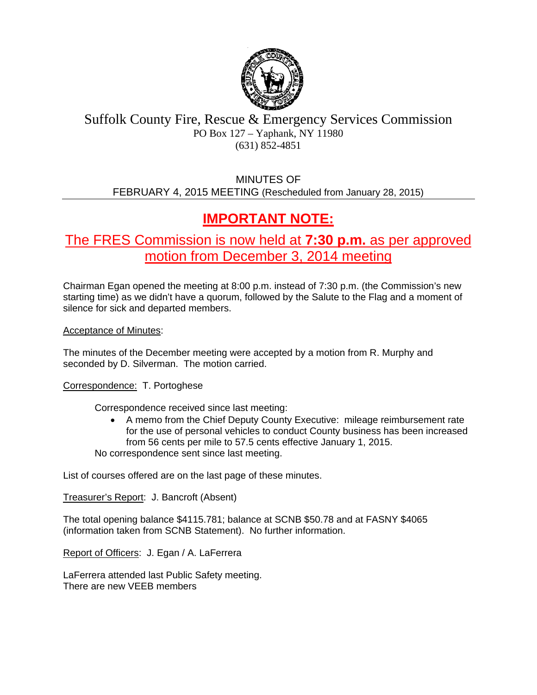

## Suffolk County Fire, Rescue & Emergency Services Commission PO Box 127 – Yaphank, NY 11980 (631) 852-4851

MINUTES OF FEBRUARY 4, 2015 MEETING (Rescheduled from January 28, 2015)

# **IMPORTANT NOTE:**

The FRES Commission is now held at **7:30 p.m.** as per approved motion from December 3, 2014 meeting

Chairman Egan opened the meeting at 8:00 p.m. instead of 7:30 p.m. (the Commission's new starting time) as we didn't have a quorum, followed by the Salute to the Flag and a moment of silence for sick and departed members.

Acceptance of Minutes:

The minutes of the December meeting were accepted by a motion from R. Murphy and seconded by D. Silverman. The motion carried.

Correspondence: T. Portoghese

Correspondence received since last meeting:

 A memo from the Chief Deputy County Executive: mileage reimbursement rate for the use of personal vehicles to conduct County business has been increased from 56 cents per mile to 57.5 cents effective January 1, 2015.

No correspondence sent since last meeting.

List of courses offered are on the last page of these minutes.

Treasurer's Report: J. Bancroft (Absent)

The total opening balance \$4115.781; balance at SCNB \$50.78 and at FASNY \$4065 (information taken from SCNB Statement). No further information.

Report of Officers: J. Egan / A. LaFerrera

LaFerrera attended last Public Safety meeting. There are new VEEB members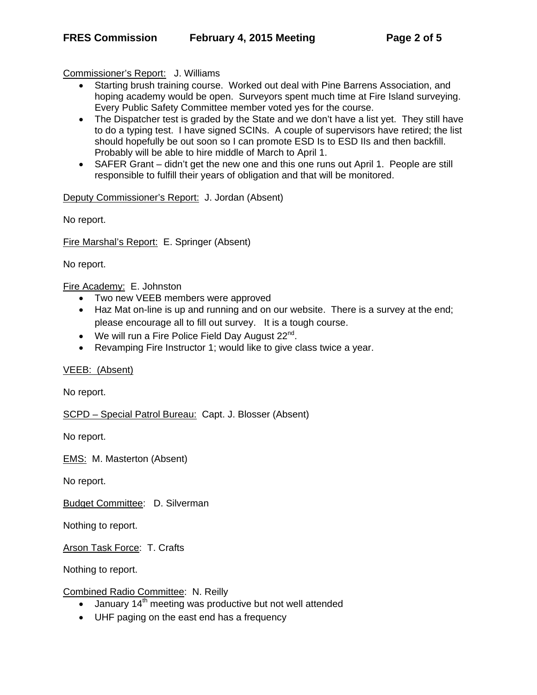Commissioner's Report: J. Williams

- Starting brush training course. Worked out deal with Pine Barrens Association, and hoping academy would be open. Surveyors spent much time at Fire Island surveying. Every Public Safety Committee member voted yes for the course.
- The Dispatcher test is graded by the State and we don't have a list yet. They still have to do a typing test. I have signed SCINs. A couple of supervisors have retired; the list should hopefully be out soon so I can promote ESD Is to ESD IIs and then backfill. Probably will be able to hire middle of March to April 1.
- SAFER Grant didn't get the new one and this one runs out April 1. People are still responsible to fulfill their years of obligation and that will be monitored.

Deputy Commissioner's Report: J. Jordan (Absent)

No report.

Fire Marshal's Report: E. Springer (Absent)

No report.

Fire Academy: E. Johnston

- Two new VEEB members were approved
- Haz Mat on-line is up and running and on our website. There is a survey at the end; please encourage all to fill out survey. It is a tough course.
- We will run a Fire Police Field Day August  $22^{nd}$ .
- Revamping Fire Instructor 1; would like to give class twice a year.

VEEB: (Absent)

No report.

SCPD – Special Patrol Bureau: Capt. J. Blosser (Absent)

No report.

EMS: M. Masterton (Absent)

No report.

Budget Committee: D. Silverman

Nothing to report.

Arson Task Force: T. Crafts

Nothing to report.

Combined Radio Committee: N. Reilly

- $\bullet$  January 14<sup>th</sup> meeting was productive but not well attended
- UHF paging on the east end has a frequency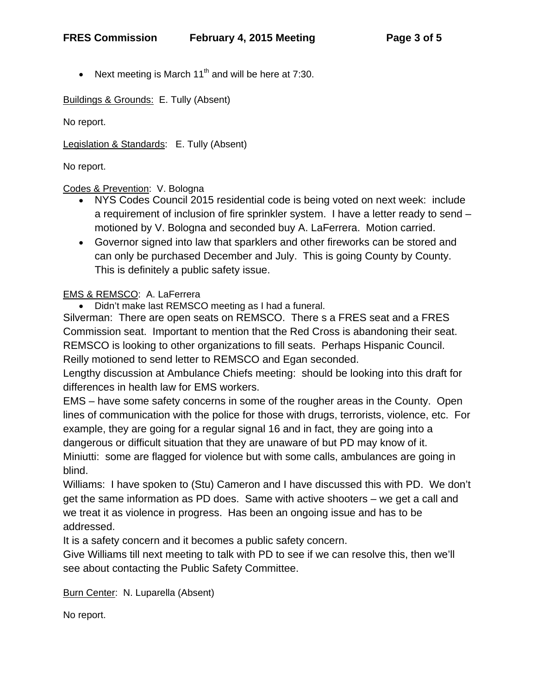• Next meeting is March  $11<sup>th</sup>$  and will be here at 7:30.

Buildings & Grounds: E. Tully (Absent)

No report.

Legislation & Standards: E. Tully (Absent)

No report.

### Codes & Prevention: V. Bologna

- NYS Codes Council 2015 residential code is being voted on next week: include a requirement of inclusion of fire sprinkler system. I have a letter ready to send – motioned by V. Bologna and seconded buy A. LaFerrera. Motion carried.
- Governor signed into law that sparklers and other fireworks can be stored and can only be purchased December and July. This is going County by County. This is definitely a public safety issue.

## EMS & REMSCO: A. LaFerrera

Didn't make last REMSCO meeting as I had a funeral.

Silverman: There are open seats on REMSCO. There s a FRES seat and a FRES Commission seat. Important to mention that the Red Cross is abandoning their seat. REMSCO is looking to other organizations to fill seats. Perhaps Hispanic Council. Reilly motioned to send letter to REMSCO and Egan seconded.

Lengthy discussion at Ambulance Chiefs meeting: should be looking into this draft for differences in health law for EMS workers.

EMS – have some safety concerns in some of the rougher areas in the County. Open lines of communication with the police for those with drugs, terrorists, violence, etc. For example, they are going for a regular signal 16 and in fact, they are going into a dangerous or difficult situation that they are unaware of but PD may know of it. Miniutti: some are flagged for violence but with some calls, ambulances are going in blind.

Williams: I have spoken to (Stu) Cameron and I have discussed this with PD. We don't get the same information as PD does. Same with active shooters – we get a call and we treat it as violence in progress. Has been an ongoing issue and has to be addressed.

It is a safety concern and it becomes a public safety concern.

Give Williams till next meeting to talk with PD to see if we can resolve this, then we'll see about contacting the Public Safety Committee.

Burn Center: N. Luparella (Absent)

No report.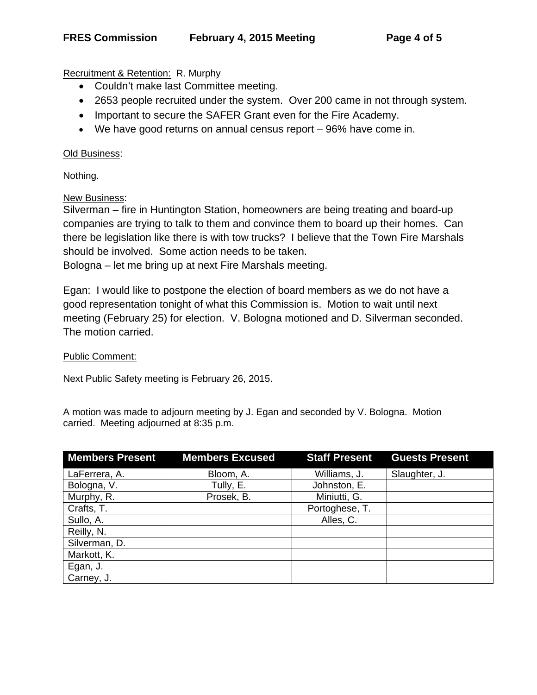Recruitment & Retention: R. Murphy

- Couldn't make last Committee meeting.
- 2653 people recruited under the system. Over 200 came in not through system.
- Important to secure the SAFER Grant even for the Fire Academy.
- We have good returns on annual census report 96% have come in.

#### Old Business:

Nothing.

New Business:

Silverman – fire in Huntington Station, homeowners are being treating and board-up companies are trying to talk to them and convince them to board up their homes. Can there be legislation like there is with tow trucks? I believe that the Town Fire Marshals should be involved. Some action needs to be taken.

Bologna – let me bring up at next Fire Marshals meeting.

Egan: I would like to postpone the election of board members as we do not have a good representation tonight of what this Commission is. Motion to wait until next meeting (February 25) for election. V. Bologna motioned and D. Silverman seconded. The motion carried.

#### Public Comment:

Next Public Safety meeting is February 26, 2015.

A motion was made to adjourn meeting by J. Egan and seconded by V. Bologna. Motion carried. Meeting adjourned at 8:35 p.m.

| <b>Members Present</b> | <b>Members Excused</b> | <b>Staff Present</b> | <b>Guests Present</b> |
|------------------------|------------------------|----------------------|-----------------------|
| LaFerrera, A.          | Bloom, A.              | Williams, J.         | Slaughter, J.         |
| Bologna, V.            | Tully, E.              | Johnston, E.         |                       |
| Murphy, R.             | Prosek, B.             | Miniutti, G.         |                       |
| Crafts, T.             |                        | Portoghese, T.       |                       |
| Sullo, A.              |                        | Alles, C.            |                       |
| Reilly, N.             |                        |                      |                       |
| Silverman, D.          |                        |                      |                       |
| Markott, K.            |                        |                      |                       |
| Egan, J.               |                        |                      |                       |
| Carney, J.             |                        |                      |                       |